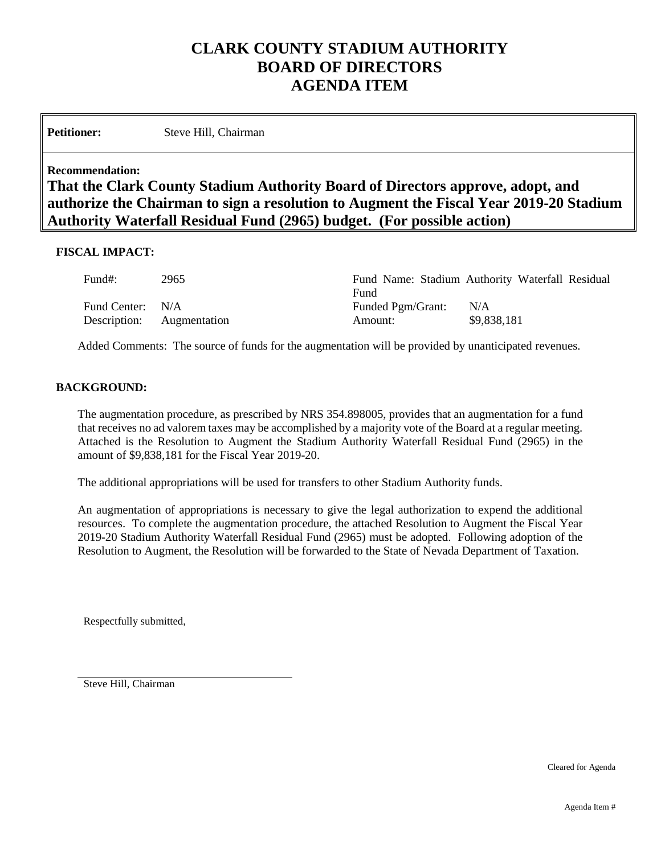# **CLARK COUNTY STADIUM AUTHORITY BOARD OF DIRECTORS AGENDA ITEM**

Petitioner: Steve Hill, Chairman

#### **Recommendation:**

## **That the Clark County Stadium Authority Board of Directors approve, adopt, and authorize the Chairman to sign a resolution to Augment the Fiscal Year 2019-20 Stadium Authority Waterfall Residual Fund (2965) budget. (For possible action)**

#### **FISCAL IMPACT:**

| Fund#:           | 2965                      | Fund                                | Fund Name: Stadium Authority Waterfall Residual |  |
|------------------|---------------------------|-------------------------------------|-------------------------------------------------|--|
| Fund Center: N/A | Description: Augmentation | <b>Funded Pgm/Grant:</b><br>Amount: | N/A<br>\$9,838,181                              |  |

Added Comments: The source of funds for the augmentation will be provided by unanticipated revenues.

#### **BACKGROUND:**

The augmentation procedure, as prescribed by NRS 354.898005, provides that an augmentation for a fund that receives no ad valorem taxes may be accomplished by a majority vote of the Board at a regular meeting. Attached is the Resolution to Augment the Stadium Authority Waterfall Residual Fund (2965) in the amount of \$9,838,181 for the Fiscal Year 2019-20.

The additional appropriations will be used for transfers to other Stadium Authority funds.

An augmentation of appropriations is necessary to give the legal authorization to expend the additional resources. To complete the augmentation procedure, the attached Resolution to Augment the Fiscal Year 2019-20 Stadium Authority Waterfall Residual Fund (2965) must be adopted. Following adoption of the Resolution to Augment, the Resolution will be forwarded to the State of Nevada Department of Taxation.

Respectfully submitted,

Steve Hill, Chairman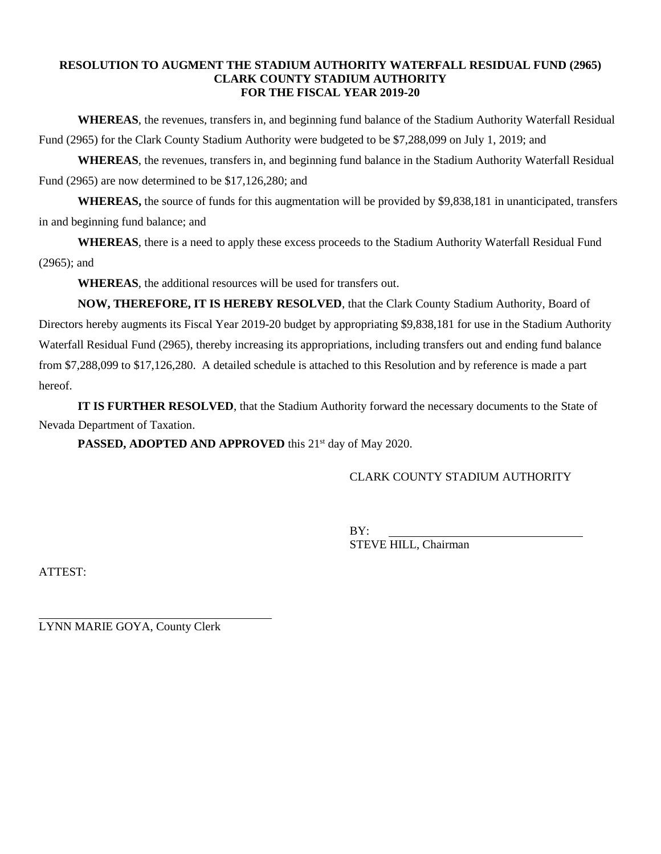#### **RESOLUTION TO AUGMENT THE STADIUM AUTHORITY WATERFALL RESIDUAL FUND (2965) CLARK COUNTY STADIUM AUTHORITY FOR THE FISCAL YEAR 2019-20**

**WHEREAS**, the revenues, transfers in, and beginning fund balance of the Stadium Authority Waterfall Residual Fund (2965) for the Clark County Stadium Authority were budgeted to be \$7,288,099 on July 1, 2019; and

**WHEREAS**, the revenues, transfers in, and beginning fund balance in the Stadium Authority Waterfall Residual Fund (2965) are now determined to be \$17,126,280; and

**WHEREAS,** the source of funds for this augmentation will be provided by \$9,838,181 in unanticipated, transfers in and beginning fund balance; and

**WHEREAS**, there is a need to apply these excess proceeds to the Stadium Authority Waterfall Residual Fund (2965); and

**WHEREAS**, the additional resources will be used for transfers out.

**NOW, THEREFORE, IT IS HEREBY RESOLVED**, that the Clark County Stadium Authority, Board of Directors hereby augments its Fiscal Year 2019-20 budget by appropriating \$9,838,181 for use in the Stadium Authority Waterfall Residual Fund (2965), thereby increasing its appropriations, including transfers out and ending fund balance from \$7,288,099 to \$17,126,280. A detailed schedule is attached to this Resolution and by reference is made a part hereof.

**IT IS FURTHER RESOLVED**, that the Stadium Authority forward the necessary documents to the State of Nevada Department of Taxation.

PASSED, ADOPTED AND APPROVED this 21<sup>st</sup> day of May 2020.

CLARK COUNTY STADIUM AUTHORITY

BY: STEVE HILL, Chairman

ATTEST:

l

LYNN MARIE GOYA, County Clerk